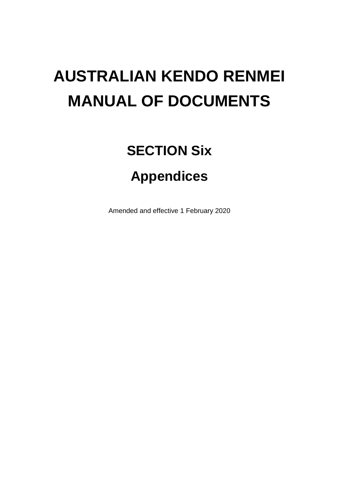# **AUSTRALIAN KENDO RENMEI MANUAL OF DOCUMENTS**

# **SECTION Six Appendices**

Amended and effective 1 February 2020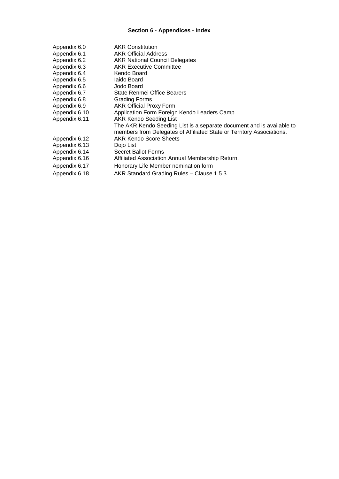# **Section 6 - Appendices - Index**

| Appendix 6.0  | <b>AKR Constitution</b>                                               |
|---------------|-----------------------------------------------------------------------|
| Appendix 6.1  | <b>AKR Official Address</b>                                           |
| Appendix 6.2  | <b>AKR National Council Delegates</b>                                 |
| Appendix 6.3  | <b>AKR Executive Committee</b>                                        |
| Appendix 6.4  | Kendo Board                                                           |
| Appendix 6.5  | laido Board                                                           |
| Appendix 6.6  | Jodo Board                                                            |
| Appendix 6.7  | State Renmei Office Bearers                                           |
| Appendix 6.8  | Grading Forms                                                         |
| Appendix 6.9  | <b>AKR Official Proxy Form</b>                                        |
| Appendix 6.10 | Application Form Foreign Kendo Leaders Camp                           |
| Appendix 6.11 | <b>AKR Kendo Seeding List</b>                                         |
|               | The AKR Kendo Seeding List is a separate document and is available to |
|               | members from Delegates of Affiliated State or Territory Associations. |
| Appendix 6.12 | <b>AKR Kendo Score Sheets</b>                                         |
| Appendix 6.13 | Dojo List                                                             |
| Appendix 6.14 | Secret Ballot Forms                                                   |
| Appendix 6.16 | Affiliated Association Annual Membership Return.                      |
| Appendix 6.17 | Honorary Life Member nomination form                                  |
| Appendix 6.18 | AKR Standard Grading Rules - Clause 1.5.3                             |
|               |                                                                       |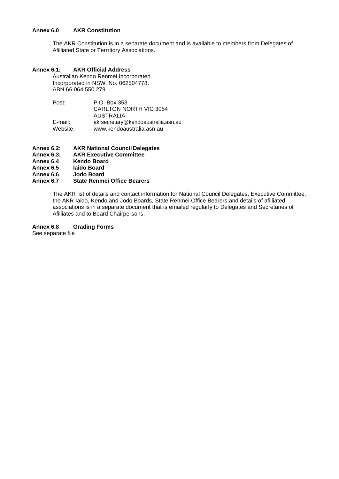#### **Annex 6.0 AKR Constitution**

The AKR Constitution is in a separate document and is available to members from Delegates of Afilliated State or Terrritory Associations.

## **Annex 6.1: AKR Official Address**

Australian Kendo Renmei Incorporated. Incorporated in NSW. No. 062504778. ABN 66 064 550 279

| Post:    | P.O. Box 353                       |
|----------|------------------------------------|
|          | <b>CARLTON NORTH VIC 3054</b>      |
|          | <b>AUSTRALIA</b>                   |
| E-mail:  | akrsecretary@kendoaustralia.asn.au |
| Website: | www.kendoaustralia.asn.au          |

- **Annex 6.2: AKR National Council Delegates** 
	- **AKR Executive Committee**
- **Annex 6.4 Kendo Board**
- **Annex 6.5 Iaido Board**
- **Annex 6.6 Jodo Board**
- **Annex 6.7 State Renmei Office Bearers**

The AKR list of details and contact information for National Council Delegates, Executive Committee, the AKR Iaido, Kendo and Jodo Boards, State Renmei Office Bearers and details of afilliated associations is in a separate document that is emailed regularly to Delegates and Secretaries of Afilliates and to Board Chairpersons.

## **Annex 6.8 Grading Forms**

See separate file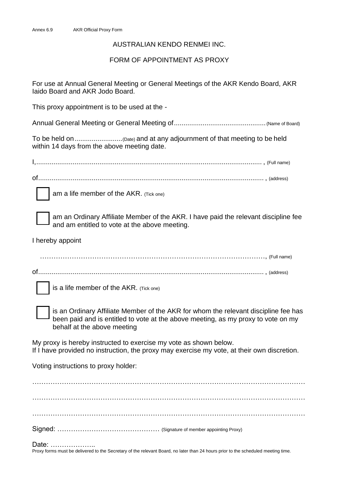# AUSTRALIAN KENDO RENMEI INC.

# FORM OF APPOINTMENT AS PROXY

For use at Annual General Meeting or General Meetings of the AKR Kendo Board, AKR Iaido Board and AKR Jodo Board.

This proxy appointment is to be used at the -

Annual General Meeting or General Meeting of................................................ (Name of Board)

To be held on.........................(Date) and at any adjournment of that meeting to be held within 14 days from the above meeting date.

I,...................................................................................................................... , (Full name)

of...................................................................................................................... , (address)

am a life member of the AKR. (Tick one)

am an Ordinary Affiliate Member of the AKR. I have paid the relevant discipline fee and am entitled to vote at the above meeting.

I hereby appoint

………………………………………………………………………………………, (Full name)

of...................................................................................................................... , (address)



is a life member of the AKR. (Tick one)

is an Ordinary Affiliate Member of the AKR for whom the relevant discipline fee has been paid and is entitled to vote at the above meeting, as my proxy to vote on my behalf at the above meeting

My proxy is hereby instructed to exercise my vote as shown below. If I have provided no instruction, the proxy may exercise my vote, at their own discretion.

Voting instructions to proxy holder:

. The contract of the contract of the contract of the contract of the contract of the contract of the contract of the contract of the contract of the contract of the contract of the contract of the contract of the contrac ………………………………………………………………………………………………………… ………………………………………………………………………………………………………… Signed: ……………………………………… (Signature of member appointing Proxy)

Date: ………………..

Proxy forms must be delivered to the Secretary of the relevant Board, no later than 24 hours prior to the scheduled meeting time.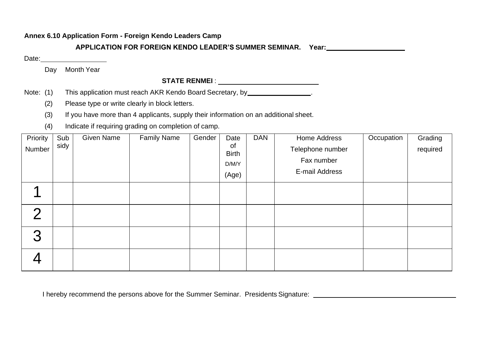# **Annex 6.10 Application Form - Foreign Kendo Leaders Camp**

**APPLICATION FOR FOREIGN KENDO LEADER'S SUMMER SEMINAR. Year:**

Date:

Day Month Year

# **STATE RENMEI** :

Note: (1) This application must reach AKR Kendo Board Secretary, by \_\_\_\_\_\_\_\_\_\_\_\_\_\_\_\_\_\_\_.

(2) Please type or write clearly in block letters.

- (3) If you have more than 4 applicants, supply their information on an additional sheet.
- (4) Indicate if requiring grading on completion of camp.

| Priority<br>Number | Sub<br>sidy | <b>Given Name</b> | <b>Family Name</b> | Gender | Date<br>0f<br><b>Birth</b><br>D/M/Y<br>(Age) | <b>DAN</b> | Home Address<br>Telephone number<br>Fax number<br>E-mail Address | Occupation | Grading<br>required |
|--------------------|-------------|-------------------|--------------------|--------|----------------------------------------------|------------|------------------------------------------------------------------|------------|---------------------|
|                    |             |                   |                    |        |                                              |            |                                                                  |            |                     |
| $\Omega$           |             |                   |                    |        |                                              |            |                                                                  |            |                     |
| 3                  |             |                   |                    |        |                                              |            |                                                                  |            |                     |
|                    |             |                   |                    |        |                                              |            |                                                                  |            |                     |

I hereby recommend the persons above for the Summer Seminar. Presidents Signature: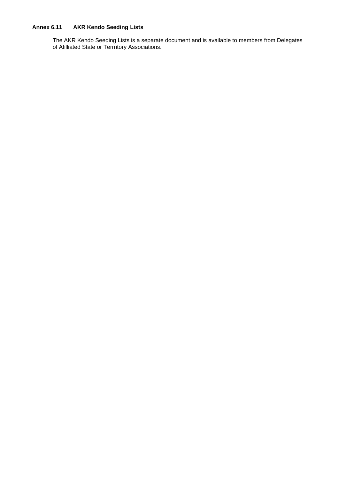# **Annex 6.11 AKR Kendo Seeding Lists**

The AKR Kendo Seeding Lists is a separate document and is available to members from Delegates of Afilliated State or Terrritory Associations.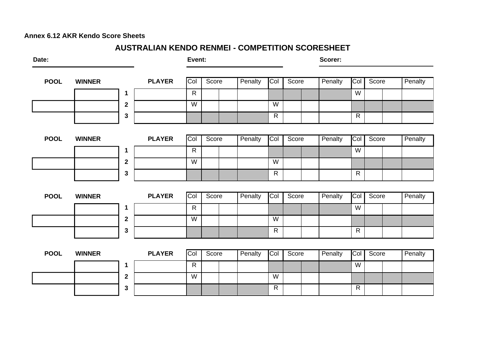# **Annex 6.12 AKR Kendo Score Sheets**

# **AUSTRALIAN KENDO RENMEI - COMPETITION SCORESHEET**

| Date:       |               |              |               | Event:       |       |         |              |       | Scorer: |              |       |         |
|-------------|---------------|--------------|---------------|--------------|-------|---------|--------------|-------|---------|--------------|-------|---------|
| <b>POOL</b> | <b>WINNER</b> |              | <b>PLAYER</b> | Col          | Score | Penalty | Col          | Score | Penalty | Col          | Score | Penalty |
|             |               | 1            |               | $\mathsf{R}$ |       |         |              |       |         | W            |       |         |
|             |               | $\mathbf{2}$ |               | W            |       |         | W            |       |         |              |       |         |
|             |               | 3            |               |              |       |         | $\mathsf{R}$ |       |         | $\mathsf{R}$ |       |         |
|             |               |              |               |              |       |         |              |       |         |              |       |         |
| <b>POOL</b> | <b>WINNER</b> |              | <b>PLAYER</b> | Col          | Score | Penalty | Col          | Score | Penalty | Col          | Score | Penalty |
|             |               | 1            |               | $\mathsf{R}$ |       |         |              |       |         | W            |       |         |
|             |               | $\mathbf{2}$ |               | W            |       |         | W            |       |         |              |       |         |
|             |               | 3            |               |              |       |         | $\mathsf{R}$ |       |         | $\mathsf{R}$ |       |         |
|             |               |              |               |              |       |         |              |       |         |              |       |         |
| <b>POOL</b> | <b>WINNER</b> |              | <b>PLAYER</b> | Col          | Score | Penalty | Col          | Score | Penalty | Col          | Score | Penalty |
|             |               | 1            |               | $\mathsf{R}$ |       |         |              |       |         | W            |       |         |
|             |               | $\mathbf{2}$ |               | W            |       |         | W            |       |         |              |       |         |
|             |               | 3            |               |              |       |         | $\mathsf{R}$ |       |         | $\mathsf{R}$ |       |         |
|             |               |              |               |              |       |         |              |       |         |              |       |         |
| <b>POOL</b> | <b>WINNER</b> |              | <b>PLAYER</b> | Col          | Score | Penalty | Col          | Score | Penalty | Col          | Score | Penalty |
|             |               | 1            |               | $\mathsf{R}$ |       |         |              |       |         | W            |       |         |
|             |               | $\mathbf{2}$ |               | W            |       |         | W            |       |         |              |       |         |
|             |               | 3            |               |              |       |         | $\mathsf{R}$ |       |         | $\mathsf{R}$ |       |         |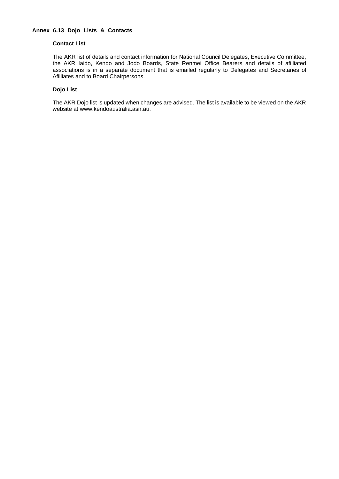#### **Contact List**

The AKR list of details and contact information for National Council Delegates, Executive Committee, the AKR Iaido, Kendo and Jodo Boards, State Renmei Office Bearers and details of afilliated associations is in a separate document that is emailed regularly to Delegates and Secretaries of Afilliates and to Board Chairpersons.

#### **Dojo List**

The AKR Dojo list is updated when changes are advised. The list is available to be viewed on the AKR website at [www.kendoaustralia.asn.au.](http://www.kendoaustralia.asn.au/)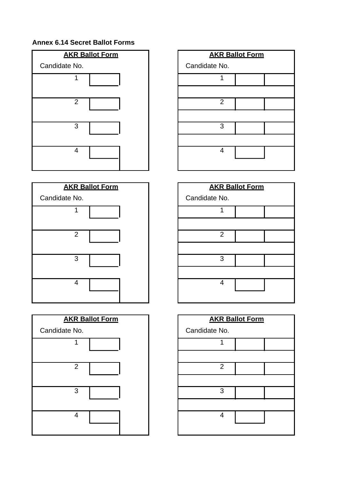# **Annex 6.14 Secret Ballot Forms**









|                | <b>AKR Ballot Form</b> |  |
|----------------|------------------------|--|
| Candidate No.  |                        |  |
| 1              |                        |  |
|                |                        |  |
| $\overline{2}$ |                        |  |
|                |                        |  |
| 3              |                        |  |
|                |                        |  |
| 4              |                        |  |
|                |                        |  |

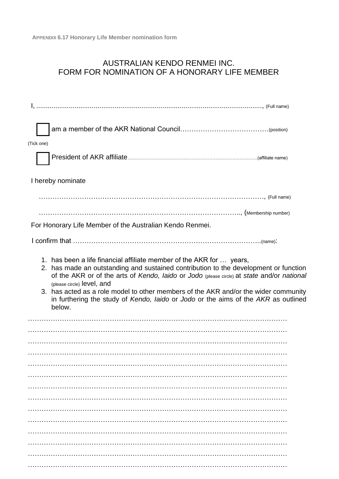# AUSTRALIAN KENDO RENMEI INC. FORM FOR NOMINATION OF A HONORARY LIFE MEMBER

| (Tick one) |                                                                                                                                                                                                                                                                                                                                                                                                                                                                                 |  |
|------------|---------------------------------------------------------------------------------------------------------------------------------------------------------------------------------------------------------------------------------------------------------------------------------------------------------------------------------------------------------------------------------------------------------------------------------------------------------------------------------|--|
|            |                                                                                                                                                                                                                                                                                                                                                                                                                                                                                 |  |
|            | I hereby nominate                                                                                                                                                                                                                                                                                                                                                                                                                                                               |  |
|            | (Full name) (Full name) (Full name) (Full name) (Full name) (Full name) (Full name) (Full name) (Full name) (Full name)                                                                                                                                                                                                                                                                                                                                                         |  |
|            |                                                                                                                                                                                                                                                                                                                                                                                                                                                                                 |  |
|            | For Honorary Life Member of the Australian Kendo Renmei.                                                                                                                                                                                                                                                                                                                                                                                                                        |  |
|            |                                                                                                                                                                                                                                                                                                                                                                                                                                                                                 |  |
|            | 1. has been a life financial affiliate member of the AKR for  years,<br>2. has made an outstanding and sustained contribution to the development or function<br>of the AKR or of the arts of Kendo, laido or Jodo (please circle) at state and/or national<br>(please circle) level, and<br>3. has acted as a role model to other members of the AKR and/or the wider community<br>in furthering the study of Kendo, laido or Jodo or the aims of the AKR as outlined<br>below. |  |
|            |                                                                                                                                                                                                                                                                                                                                                                                                                                                                                 |  |
|            |                                                                                                                                                                                                                                                                                                                                                                                                                                                                                 |  |
|            |                                                                                                                                                                                                                                                                                                                                                                                                                                                                                 |  |
|            |                                                                                                                                                                                                                                                                                                                                                                                                                                                                                 |  |
|            |                                                                                                                                                                                                                                                                                                                                                                                                                                                                                 |  |
|            |                                                                                                                                                                                                                                                                                                                                                                                                                                                                                 |  |
|            |                                                                                                                                                                                                                                                                                                                                                                                                                                                                                 |  |
|            |                                                                                                                                                                                                                                                                                                                                                                                                                                                                                 |  |
|            |                                                                                                                                                                                                                                                                                                                                                                                                                                                                                 |  |
|            |                                                                                                                                                                                                                                                                                                                                                                                                                                                                                 |  |
|            |                                                                                                                                                                                                                                                                                                                                                                                                                                                                                 |  |
|            |                                                                                                                                                                                                                                                                                                                                                                                                                                                                                 |  |
|            |                                                                                                                                                                                                                                                                                                                                                                                                                                                                                 |  |
|            |                                                                                                                                                                                                                                                                                                                                                                                                                                                                                 |  |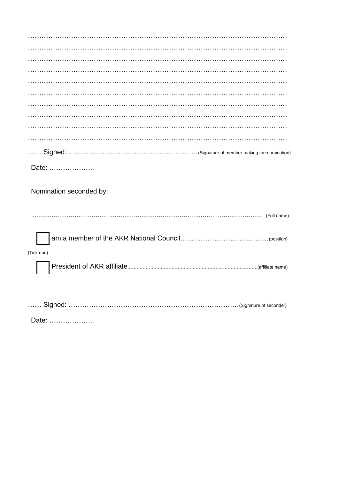| Date:                   |
|-------------------------|
|                         |
| Nomination seconded by: |
|                         |
|                         |
|                         |
| (Tick one)              |
|                         |
|                         |
|                         |
|                         |

Date: ......................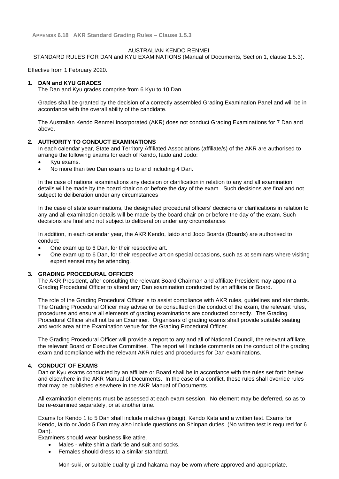#### AUSTRALIAN KENDO RENMEI

#### STANDARD RULES FOR DAN and KYU EXAMINATIONS (Manual of Documents, Section 1, clause 1.5.3).

Effective from 1 February 2020.

#### **1. DAN and KYU GRADES**

The Dan and Kyu grades comprise from 6 Kyu to 10 Dan.

Grades shall be granted by the decision of a correctly assembled Grading Examination Panel and will be in accordance with the overall ability of the candidate.

The Australian Kendo Renmei Incorporated (AKR) does not conduct Grading Examinations for 7 Dan and above.

#### **2. AUTHORITY TO CONDUCT EXAMINATIONS**

In each calendar year, State and Territory Affiliated Associations (affiliate/s) of the AKR are authorised to arrange the following exams for each of Kendo, Iaido and Jodo:

- Kyu exams.
- No more than two Dan exams up to and including 4 Dan.

In the case of national examinations any decision or clarification in relation to any and all examination details will be made by the board chair on or before the day of the exam. Such decisions are final and not subject to deliberation under any circumstances

In the case of state examinations, the designated procedural officers' decisions or clarifications in relation to any and all examination details will be made by the board chair on or before the day of the exam. Such decisions are final and not subject to deliberation under any circumstances

In addition, in each calendar year, the AKR Kendo, Iaido and Jodo Boards (Boards) are authorised to conduct:

- One exam up to 6 Dan, for their respective art.
- One exam up to 6 Dan, for their respective art on special occasions, such as at seminars where visiting expert sensei may be attending.

#### **3. GRADING PROCEDURAL OFFICER**

The AKR President, after consulting the relevant Board Chairman and affiliate President may appoint a Grading Procedural Officer to attend any Dan examination conducted by an affiliate or Board.

The role of the Grading Procedural Officer is to assist compliance with AKR rules, guidelines and standards. The Grading Procedural Officer may advise or be consulted on the conduct of the exam, the relevant rules, procedures and ensure all elements of grading examinations are conducted correctly. The Grading Procedural Officer shall not be an Examiner. Organisers of grading exams shall provide suitable seating and work area at the Examination venue for the Grading Procedural Officer.

The Grading Procedural Officer will provide a report to any and all of National Council, the relevant affiliate, the relevant Board or Executive Committee. The report will include comments on the conduct of the grading exam and compliance with the relevant AKR rules and procedures for Dan examinations.

#### **4. CONDUCT OF EXAMS**

Dan or Kyu exams conducted by an affiliate or Board shall be in accordance with the rules set forth below and elsewhere in the AKR Manual of Documents. In the case of a conflict, these rules shall override rules that may be published elsewhere in the AKR Manual of Documents.

All examination elements must be assessed at each exam session. No element may be deferred, so as to be re-examined separately, or at another time.

Exams for Kendo 1 to 5 Dan shall include matches (jitsugi), Kendo Kata and a written test. Exams for Kendo, Iaido or Jodo 5 Dan may also include questions on Shinpan duties. (No written test is required for 6 Dan).

Examiners should wear business like attire.

- Males white shirt a dark tie and suit and socks.
- Females should dress to a similar standard.

Mon-suki, or suitable quality gi and hakama may be worn where approved and appropriate.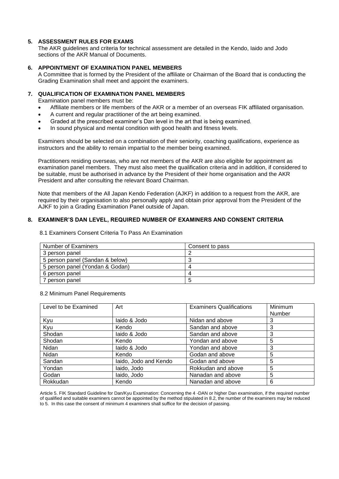## **5. ASSESSMENT RULES FOR EXAMS**

The AKR guidelines and criteria for technical assessment are detailed in the Kendo, Iaido and Jodo sections of the AKR Manual of Documents.

## **6. APPOINTMENT OF EXAMINATION PANEL MEMBERS**

A Committee that is formed by the President of the affiliate or Chairman of the Board that is conducting the Grading Examination shall meet and appoint the examiners.

## **7. QUALIFICATION OF EXAMINATION PANEL MEMBERS**

Examination panel members must be:

- Affiliate members or life members of the AKR or a member of an overseas FIK affiliated organisation.
- A current and regular practitioner of the art being examined.
- Graded at the prescribed examiner's Dan level in the art that is being examined.
- In sound physical and mental condition with good health and fitness levels.

Examiners should be selected on a combination of their seniority, coaching qualifications, experience as instructors and the ability to remain impartial to the member being examined.

Practitioners residing overseas, who are not members of the AKR are also eligible for appointment as examination panel members. They must also meet the qualification criteria and in addition, if considered to be suitable, must be authorised in advance by the President of their home organisation and the AKR President and after consulting the relevant Board Chairman.

Note that members of the All Japan Kendo Federation (AJKF) in addition to a request from the AKR, are required by their organisation to also personally apply and obtain prior approval from the President of the AJKF to join a Grading Examination Panel outside of Japan.

## **8. EXAMINER'S DAN LEVEL, REQUIRED NUMBER OF EXAMINERS AND CONSENT CRITERIA**

| Number of Examiners             | Consent to pass |
|---------------------------------|-----------------|
| 3 person panel                  |                 |
| 5 person panel (Sandan & below) |                 |
| 5 person panel (Yondan & Godan) |                 |
| 6 person panel                  |                 |
| 7 person panel                  |                 |

8.1 Examiners Consent Criteria To Pass An Examination

#### 8.2 Minimum Panel Requirements

| Level to be Examined | Art                   | <b>Examiners Qualifications</b> | Minimum |
|----------------------|-----------------------|---------------------------------|---------|
|                      |                       |                                 | Number  |
| Kyu                  | laido & Jodo          | Nidan and above                 | 3       |
| Kyu                  | Kendo                 | Sandan and above                | 3       |
| Shodan               | laido & Jodo          | Sandan and above                | 3       |
| Shodan               | Kendo                 | Yondan and above                | 5       |
| Nidan                | laido & Jodo          | Yondan and above                | 3       |
| Nidan                | Kendo                 | Godan and above                 | 5       |
| Sandan               | laido, Jodo and Kendo | Godan and above                 | 5       |
| Yondan               | laido, Jodo           | Rokkudan and above              | 5       |
| Godan                | laido, Jodo           | Nanadan and above               | 5       |
| Rokkudan             | Kendo                 | Nanadan and above               | 6       |

Article 5. FIK Standard Guideline for Dan/Kyu Examination: Concerning the 4 -DAN or higher Dan examination, if the required number of qualified and suitable examiners cannot be appointed by the method stipulated in 8.2, the number of the examiners may be reduced to 5. In this case the consent of minimum 4 examiners shall suffice for the decision of passing.